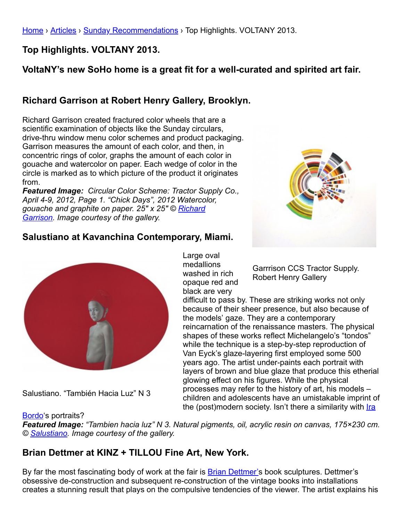[Home](http://www.galleryintell.com/) › [Articles](http://www.galleryintell.com/category/articles/) › [Sunday Recommendations](http://www.galleryintell.com/category/articles/sunday-recommendations/) › Top Highlights. VOLTANY 2013.

**Top Highlights. VOLTANY 2013.**

# **VoltaNY's new SoHo home is a great fit for a well-curated and spirited art fair.**

# **Richard Garrison at Robert Henry Gallery, Brooklyn.**

Richard Garrison created fractured color wheels that are a scientific examination of objects like the Sunday circulars, drive-thru window menu color schemes and product packaging. Garrison measures the amount of each color, and then, in concentric rings of color, graphs the amount of each color in gouache and watercolor on paper. Each wedge of color in the circle is marked as to which picture of the product it originates from.

*Featured Image: Circular Color Scheme: Tractor Supply Co., April 4-9, 2012, Page 1. "Chick Days", 2012 Watercolor, [gouache and graphite on paper. 25″ x 25″ © Richard](http://richgarrison.com/) Garrison. Image courtesy of the gallery.*



#### **Salustiano at Kavanchina Contemporary, Miami.**



Salustiano. "También Hacia Luz" N 3

Large oval medallions washed in rich opaque red and black are very

Garrrison CCS Tractor Supply. Robert Henry Gallery

difficult to pass by. These are striking works not only because of their sheer presence, but also because of the models' gaze. They are a contemporary reincarnation of the renaissance masters. The physical shapes of these works reflect Michelangelo's "tondos" while the technique is a step-by-step reproduction of Van Eyck's glaze-layering first employed some 500 years ago. The artist under-paints each portrait with layers of brown and blue glaze that produce this etherial glowing effect on his figures. While the physical processes may refer to the history of art, his models – children and adolescents have an umistakable imprint of [the \(post\)modern society. Isn't there a similarity with Ira](http://www.galleryintell.com/ira-bordo-no-rush-at-pobeda-gallery-moscow/)

Bordo's portraits?

*Featured Image: "Tambien hacia luz" N 3. Natural pigments, oil, acrylic resin on canvas, 175×230 cm. © [Salustiano](http://www.salustiano.com/). Image courtesy of the gallery.*

## **Brian Dettmer at KINZ + TILLOU Fine Art, New York.**

By far the most fascinating body of work at the fair is **[Brian Dettmer's](http://briandettmer.com/) book sculptures. Dettmer's** obsessive de-construction and subsequent re-construction of the vintage books into installations creates a stunning result that plays on the compulsive tendencies of the viewer. The artist explains his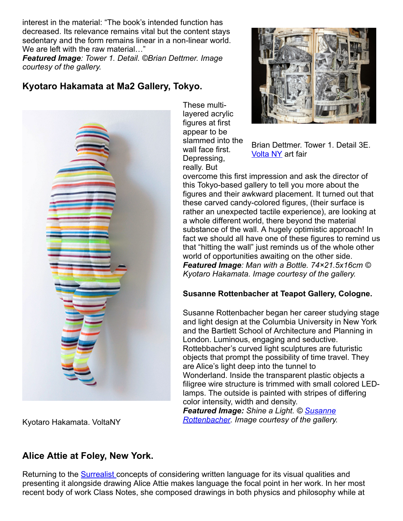interest in the material: "The book's intended function has decreased. Its relevance remains vital but the content stays sedentary and the form remains linear in a non-linear world. We are left with the raw material..."

*Featured Image: Tower 1. Detail. ©Brian Dettmer. Image courtesy of the gallery.*

## **Kyotaro Hakamata at Ma2 Gallery, Tokyo.**



These multilayered acrylic figures at first appear to be slammed into the wall face first. Depressing, really. But



Brian Dettmer. Tower 1. Detail 3E. **[Volta NY](http://www.galleryintell.com/voltany/)** art fair

overcome this first impression and ask the director of this Tokyo-based gallery to tell you more about the figures and their awkward placement. It turned out that these carved candy-colored figures, (their surface is rather an unexpected tactile experience), are looking at a whole different world, there beyond the material substance of the wall. A hugely optimistic approach! In fact we should all have one of these figures to remind us that "hitting the wall" just reminds us of the whole other world of opportunities awaiting on the other side. *Featured Image: Man with a Bottle. 74×21.5x16cm © Kyotaro Hakamata. Image courtesy of the gallery.*

#### **Susanne Rottenbacher at Teapot Gallery, Cologne.**

Susanne Rottenbacher began her career studying stage and light design at the Columbia University in New York and the Bartlett School of Architecture and Planning in London. Luminous, engaging and seductive. Rottebbacher's curved light sculptures are futuristic objects that prompt the possibility of time travel. They are Alice's light deep into the tunnel to Wonderland. Inside the transparent plastic objects a filigree wire structure is trimmed with small colored LEDlamps. The outside is painted with stripes of differing color intensity, width and density.

*Featured Image: Shine a Light. © Susanne [Rottenbacher. Image courtesy of the gallery.](http://www.susannerottenbacher.de/)*

Kyotaro Hakamata. VoltaNY

### **Alice Attie at Foley, New York.**

Returning to the [Surrealist c](http://www.galleryintell.com/sunday-exhibition-recommendations-february-10-2013/)oncepts of considering written language for its visual qualities and presenting it alongside drawing Alice Attie makes language the focal point in her work. In her most recent body of work Class Notes, she composed drawings in both physics and philosophy while at